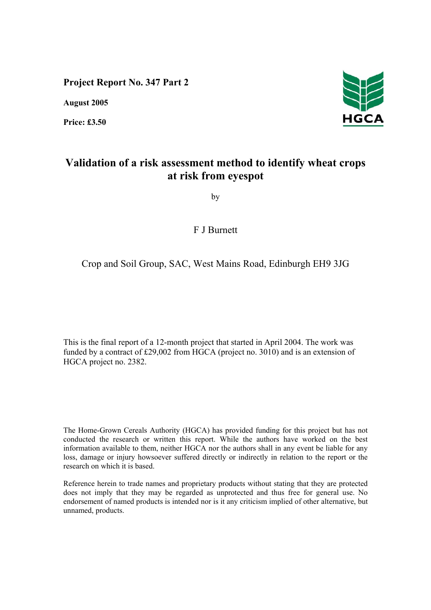**Project Report No. 347 Part 2** 

**August 2005** 

**Price: £3.50** 



# **Validation of a risk assessment method to identify wheat crops at risk from eyespot**

by

F J Burnett

## Crop and Soil Group, SAC, West Mains Road, Edinburgh EH9 3JG

This is the final report of a 12-month project that started in April 2004. The work was funded by a contract of £29,002 from HGCA (project no. 3010) and is an extension of HGCA project no. 2382.

The Home-Grown Cereals Authority (HGCA) has provided funding for this project but has not conducted the research or written this report. While the authors have worked on the best information available to them, neither HGCA nor the authors shall in any event be liable for any loss, damage or injury howsoever suffered directly or indirectly in relation to the report or the research on which it is based.

Reference herein to trade names and proprietary products without stating that they are protected does not imply that they may be regarded as unprotected and thus free for general use. No endorsement of named products is intended nor is it any criticism implied of other alternative, but unnamed, products.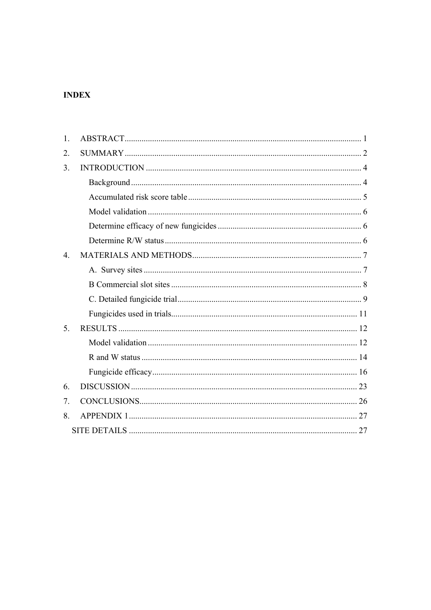## **INDEX**

| 1.               |  |
|------------------|--|
| 2.               |  |
| 3 <sub>1</sub>   |  |
|                  |  |
|                  |  |
|                  |  |
|                  |  |
|                  |  |
| $\overline{4}$ . |  |
|                  |  |
|                  |  |
|                  |  |
|                  |  |
| 5.               |  |
|                  |  |
|                  |  |
|                  |  |
| 6.               |  |
| 7.               |  |
| 8.               |  |
|                  |  |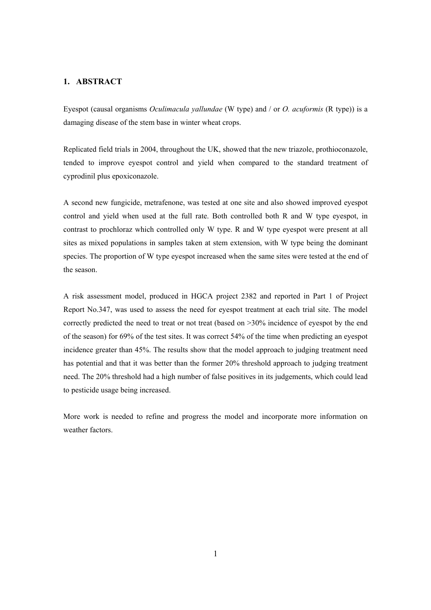## **1. ABSTRACT**

Eyespot (causal organisms *Oculimacula yallundae* (W type) and / or *O. acuformis* (R type)) is a damaging disease of the stem base in winter wheat crops.

Replicated field trials in 2004, throughout the UK, showed that the new triazole, prothioconazole, tended to improve eyespot control and yield when compared to the standard treatment of cyprodinil plus epoxiconazole.

A second new fungicide, metrafenone, was tested at one site and also showed improved eyespot control and yield when used at the full rate. Both controlled both R and W type eyespot, in contrast to prochloraz which controlled only W type. R and W type eyespot were present at all sites as mixed populations in samples taken at stem extension, with W type being the dominant species. The proportion of W type eyespot increased when the same sites were tested at the end of the season.

A risk assessment model, produced in HGCA project 2382 and reported in Part 1 of Project Report No.347, was used to assess the need for eyespot treatment at each trial site. The model correctly predicted the need to treat or not treat (based on >30% incidence of eyespot by the end of the season) for 69% of the test sites. It was correct 54% of the time when predicting an eyespot incidence greater than 45%. The results show that the model approach to judging treatment need has potential and that it was better than the former 20% threshold approach to judging treatment need. The 20% threshold had a high number of false positives in its judgements, which could lead to pesticide usage being increased.

More work is needed to refine and progress the model and incorporate more information on weather factors.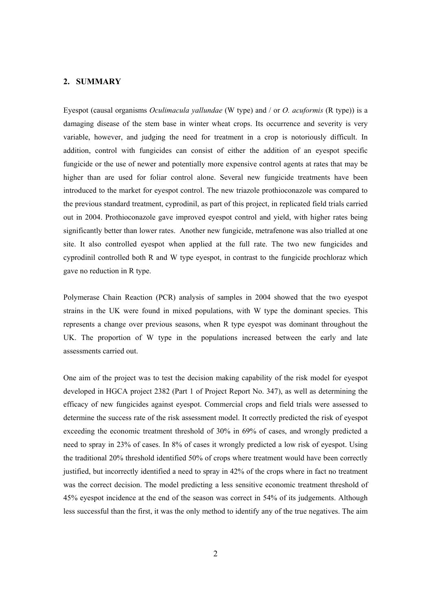#### **2. SUMMARY**

Eyespot (causal organisms *Oculimacula yallundae* (W type) and / or *O. acuformis* (R type)) is a damaging disease of the stem base in winter wheat crops. Its occurrence and severity is very variable, however, and judging the need for treatment in a crop is notoriously difficult. In addition, control with fungicides can consist of either the addition of an eyespot specific fungicide or the use of newer and potentially more expensive control agents at rates that may be higher than are used for foliar control alone. Several new fungicide treatments have been introduced to the market for eyespot control. The new triazole prothioconazole was compared to the previous standard treatment, cyprodinil, as part of this project, in replicated field trials carried out in 2004. Prothioconazole gave improved eyespot control and yield, with higher rates being significantly better than lower rates. Another new fungicide, metrafenone was also trialled at one site. It also controlled eyespot when applied at the full rate. The two new fungicides and cyprodinil controlled both R and W type eyespot, in contrast to the fungicide prochloraz which gave no reduction in R type.

Polymerase Chain Reaction (PCR) analysis of samples in 2004 showed that the two eyespot strains in the UK were found in mixed populations, with W type the dominant species. This represents a change over previous seasons, when R type eyespot was dominant throughout the UK. The proportion of W type in the populations increased between the early and late assessments carried out.

One aim of the project was to test the decision making capability of the risk model for eyespot developed in HGCA project 2382 (Part 1 of Project Report No. 347), as well as determining the efficacy of new fungicides against eyespot. Commercial crops and field trials were assessed to determine the success rate of the risk assessment model. It correctly predicted the risk of eyespot exceeding the economic treatment threshold of 30% in 69% of cases, and wrongly predicted a need to spray in 23% of cases. In 8% of cases it wrongly predicted a low risk of eyespot. Using the traditional 20% threshold identified 50% of crops where treatment would have been correctly justified, but incorrectly identified a need to spray in 42% of the crops where in fact no treatment was the correct decision. The model predicting a less sensitive economic treatment threshold of 45% eyespot incidence at the end of the season was correct in 54% of its judgements. Although less successful than the first, it was the only method to identify any of the true negatives. The aim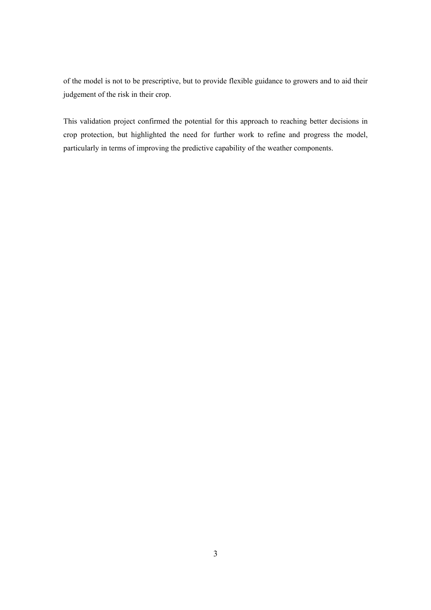of the model is not to be prescriptive, but to provide flexible guidance to growers and to aid their judgement of the risk in their crop.

This validation project confirmed the potential for this approach to reaching better decisions in crop protection, but highlighted the need for further work to refine and progress the model, particularly in terms of improving the predictive capability of the weather components.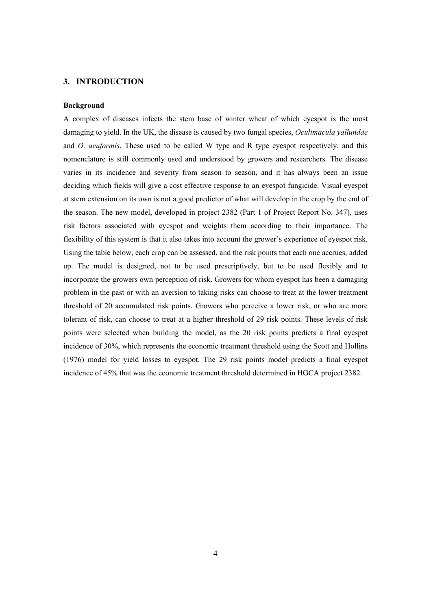#### **3. INTRODUCTION**

#### **Background**

A complex of diseases infects the stem base of winter wheat of which eyespot is the most damaging to yield. In the UK, the disease is caused by two fungal species, *Oculimacula yallundae* and *O. acuformis*. These used to be called W type and R type eyespot respectively, and this nomenclature is still commonly used and understood by growers and researchers. The disease varies in its incidence and severity from season to season, and it has always been an issue deciding which fields will give a cost effective response to an eyespot fungicide. Visual eyespot at stem extension on its own is not a good predictor of what will develop in the crop by the end of the season. The new model, developed in project 2382 (Part 1 of Project Report No. 347), uses risk factors associated with eyespot and weights them according to their importance. The flexibility of this system is that it also takes into account the grower's experience of eyespot risk. Using the table below, each crop can be assessed, and the risk points that each one accrues, added up. The model is designed, not to be used prescriptively, but to be used flexibly and to incorporate the growers own perception of risk. Growers for whom eyespot has been a damaging problem in the past or with an aversion to taking risks can choose to treat at the lower treatment threshold of 20 accumulated risk points. Growers who perceive a lower risk, or who are more tolerant of risk, can choose to treat at a higher threshold of 29 risk points. These levels of risk points were selected when building the model, as the 20 risk points predicts a final eyespot incidence of 30%, which represents the economic treatment threshold using the Scott and Hollins (1976) model for yield losses to eyespot. The 29 risk points model predicts a final eyespot incidence of 45% that was the economic treatment threshold determined in HGCA project 2382.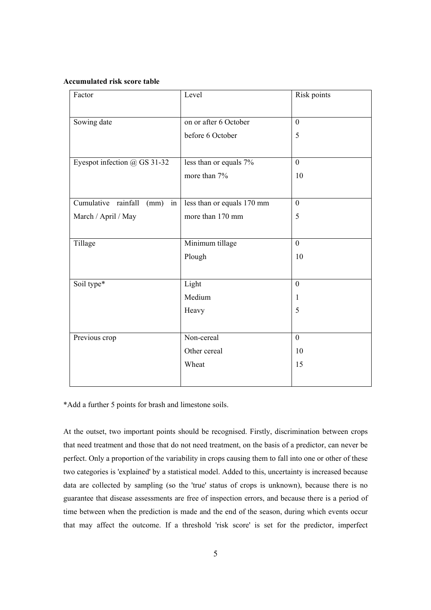#### **Accumulated risk score table**

| Factor                            | Level                      | Risk points      |
|-----------------------------------|----------------------------|------------------|
|                                   |                            |                  |
| Sowing date                       | on or after 6 October      | $\mathbf{0}$     |
|                                   | before 6 October           | 5                |
|                                   |                            |                  |
| Eyespot infection @ GS 31-32      | less than or equals 7%     | $\boldsymbol{0}$ |
|                                   | more than 7%               | 10               |
|                                   |                            |                  |
| Cumulative rainfall<br>(mm)<br>in | less than or equals 170 mm | $\boldsymbol{0}$ |
| March / April / May               | more than 170 mm           | 5                |
|                                   |                            |                  |
| Tillage                           | Minimum tillage            | $\mathbf{0}$     |
|                                   | Plough                     | 10               |
|                                   |                            |                  |
| Soil type*                        | Light                      | $\mathbf{0}$     |
|                                   | Medium                     | 1                |
|                                   | Heavy                      | 5                |
|                                   |                            |                  |
| Previous crop                     | Non-cereal                 | $\mathbf{0}$     |
|                                   | Other cereal               | 10               |
|                                   | Wheat                      | 15               |
|                                   |                            |                  |
|                                   |                            |                  |

\*Add a further 5 points for brash and limestone soils.

At the outset, two important points should be recognised. Firstly, discrimination between crops that need treatment and those that do not need treatment, on the basis of a predictor, can never be perfect. Only a proportion of the variability in crops causing them to fall into one or other of these two categories is 'explained' by a statistical model. Added to this, uncertainty is increased because data are collected by sampling (so the 'true' status of crops is unknown), because there is no guarantee that disease assessments are free of inspection errors, and because there is a period of time between when the prediction is made and the end of the season, during which events occur that may affect the outcome. If a threshold 'risk score' is set for the predictor, imperfect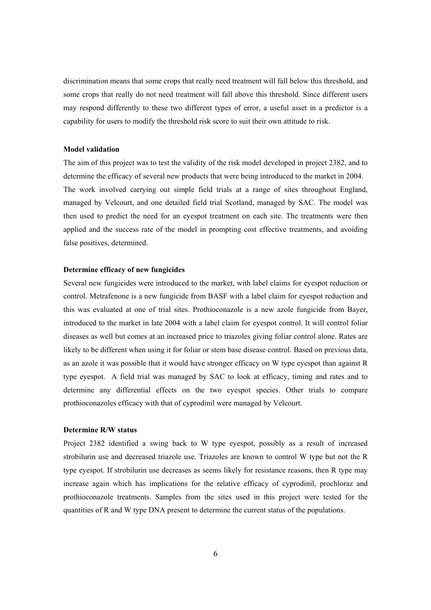discrimination means that some crops that really need treatment will fall below this threshold, and some crops that really do not need treatment will fall above this threshold. Since different users may respond differently to these two different types of error, a useful asset in a predictor is a capability for users to modify the threshold risk score to suit their own attitude to risk.

#### **Model validation**

The aim of this project was to test the validity of the risk model developed in project 2382, and to determine the efficacy of several new products that were being introduced to the market in 2004. The work involved carrying out simple field trials at a range of sites throughout England, managed by Velcourt, and one detailed field trial Scotland, managed by SAC. The model was then used to predict the need for an eyespot treatment on each site. The treatments were then applied and the success rate of the model in prompting cost effective treatments, and avoiding false positives, determined.

#### **Determine efficacy of new fungicides**

Several new fungicides were introduced to the market, with label claims for eyespot reduction or control. Metrafenone is a new fungicide from BASF with a label claim for eyespot reduction and this was evaluated at one of trial sites. Prothioconazole is a new azole fungicide from Bayer, introduced to the market in late 2004 with a label claim for eyespot control. It will control foliar diseases as well but comes at an increased price to triazoles giving foliar control alone. Rates are likely to be different when using it for foliar or stem base disease control. Based on previous data, as an azole it was possible that it would have stronger efficacy on W type eyespot than against R type eyespot. A field trial was managed by SAC to look at efficacy, timing and rates and to determine any differential effects on the two eyespot species. Other trials to compare prothioconazoles efficacy with that of cyprodinil were managed by Velcourt.

#### **Determine R/W status**

Project 2382 identified a swing back to W type eyespot, possibly as a result of increased strobilurin use and decreased triazole use. Triazoles are known to control W type but not the R type eyespot. If strobilurin use decreases as seems likely for resistance reasons, then R type may increase again which has implications for the relative efficacy of cyprodinil, prochloraz and prothioconazole treatments. Samples from the sites used in this project were tested for the quantities of R and W type DNA present to determine the current status of the populations.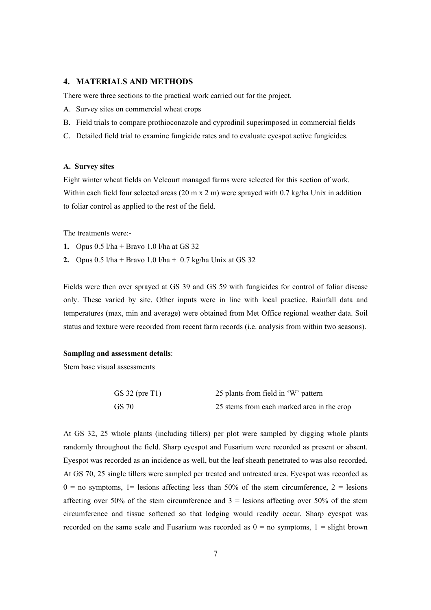#### **4. MATERIALS AND METHODS**

There were three sections to the practical work carried out for the project.

- A. Survey sites on commercial wheat crops
- B. Field trials to compare prothioconazole and cyprodinil superimposed in commercial fields
- C. Detailed field trial to examine fungicide rates and to evaluate eyespot active fungicides.

#### **A. Survey sites**

Eight winter wheat fields on Velcourt managed farms were selected for this section of work. Within each field four selected areas (20 m x 2 m) were sprayed with 0.7 kg/ha Unix in addition to foliar control as applied to the rest of the field.

The treatments were:-

- **1.** Opus 0.5 l/ha + Bravo 1.0 l/ha at GS 32
- **2.** Opus  $0.5 \frac{\ln 4 + B}{\ln 4} = 0.7 \frac{\text{kg}}{\text{h}}$  Unix at GS 32

Fields were then over sprayed at GS 39 and GS 59 with fungicides for control of foliar disease only. These varied by site. Other inputs were in line with local practice. Rainfall data and temperatures (max, min and average) were obtained from Met Office regional weather data. Soil status and texture were recorded from recent farm records (i.e. analysis from within two seasons).

#### **Sampling and assessment details**:

Stem base visual assessments

| GS 32 (pre $T1$ ) | 25 plants from field in 'W' pattern        |
|-------------------|--------------------------------------------|
| GS 70             | 25 stems from each marked area in the crop |

At GS 32, 25 whole plants (including tillers) per plot were sampled by digging whole plants randomly throughout the field. Sharp eyespot and Fusarium were recorded as present or absent. Eyespot was recorded as an incidence as well, but the leaf sheath penetrated to was also recorded. At GS 70, 25 single tillers were sampled per treated and untreated area. Eyespot was recorded as  $0 =$  no symptoms, 1 = lesions affecting less than 50% of the stem circumference, 2 = lesions affecting over 50% of the stem circumference and  $3 =$  lesions affecting over 50% of the stem circumference and tissue softened so that lodging would readily occur. Sharp eyespot was recorded on the same scale and Fusarium was recorded as  $0 =$  no symptoms,  $1 =$  slight brown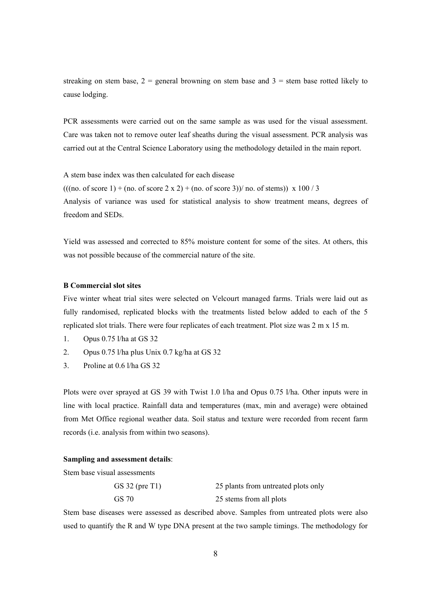streaking on stem base,  $2 =$  general browning on stem base and  $3 =$  stem base rotted likely to cause lodging.

PCR assessments were carried out on the same sample as was used for the visual assessment. Care was taken not to remove outer leaf sheaths during the visual assessment. PCR analysis was carried out at the Central Science Laboratory using the methodology detailed in the main report.

A stem base index was then calculated for each disease  $(((no. of score 1) + (no. of score 2 x 2) + (no. of score 3)) / no. of stems)) x 100 / 3$ Analysis of variance was used for statistical analysis to show treatment means, degrees of freedom and SEDs.

Yield was assessed and corrected to 85% moisture content for some of the sites. At others, this was not possible because of the commercial nature of the site.

### **B Commercial slot sites**

Five winter wheat trial sites were selected on Velcourt managed farms. Trials were laid out as fully randomised, replicated blocks with the treatments listed below added to each of the 5 replicated slot trials. There were four replicates of each treatment. Plot size was 2 m x 15 m.

- 1. Opus 0.75 l/ha at GS 32
- 2. Opus 0.75 l/ha plus Unix 0.7 kg/ha at GS 32
- 3. Proline at 0.6 l/ha GS 32

Plots were over sprayed at GS 39 with Twist 1.0 l/ha and Opus 0.75 l/ha. Other inputs were in line with local practice. Rainfall data and temperatures (max, min and average) were obtained from Met Office regional weather data. Soil status and texture were recorded from recent farm records (i.e. analysis from within two seasons).

#### **Sampling and assessment details**:

Stem base visual assessments

| $GS$ 32 (pre T1) | 25 plants from untreated plots only |
|------------------|-------------------------------------|
| GS 70            | 25 stems from all plots             |

Stem base diseases were assessed as described above. Samples from untreated plots were also used to quantify the R and W type DNA present at the two sample timings. The methodology for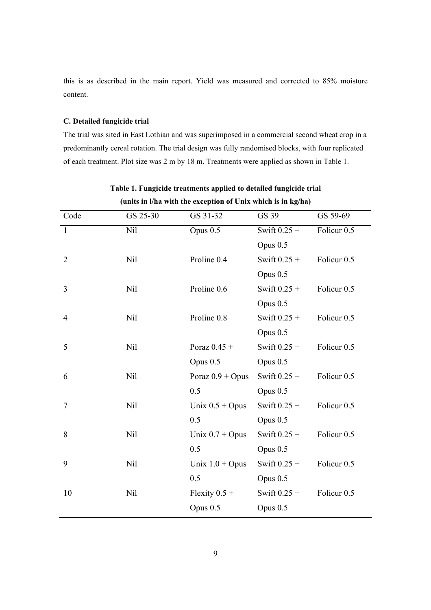this is as described in the main report. Yield was measured and corrected to 85% moisture content.

## **C. Detailed fungicide trial**

The trial was sited in East Lothian and was superimposed in a commercial second wheat crop in a predominantly cereal rotation. The trial design was fully randomised blocks, with four replicated of each treatment. Plot size was 2 m by 18 m. Treatments were applied as shown in Table 1.

| Code           | GS 25-30   | GS 31-32           | GS 39          | GS 59-69               |
|----------------|------------|--------------------|----------------|------------------------|
| 1              | <b>Nil</b> | Opus $0.5$         | Swift $0.25 +$ | Folicur <sub>0.5</sub> |
|                |            |                    | Opus 0.5       |                        |
| $\overline{2}$ | <b>Nil</b> | Proline 0.4        | Swift $0.25 +$ | Folicur <sub>0.5</sub> |
|                |            |                    | Opus 0.5       |                        |
| 3              | <b>Nil</b> | Proline 0.6        | Swift $0.25 +$ | Folicur <sub>0.5</sub> |
|                |            |                    | Opus 0.5       |                        |
| $\overline{4}$ | <b>Nil</b> | Proline 0.8        | Swift $0.25 +$ | Folicur <sub>0.5</sub> |
|                |            |                    | Opus 0.5       |                        |
| 5              | <b>Nil</b> | Poraz $0.45 +$     | Swift $0.25 +$ | Folicur <sub>0.5</sub> |
|                |            | Opus 0.5           | Opus 0.5       |                        |
| 6              | Nil        | Poraz $0.9 +$ Opus | Swift $0.25 +$ | Folicur <sub>0.5</sub> |
|                |            | 0.5                | Opus 0.5       |                        |
| 7              | <b>Nil</b> | Unix $0.5 +$ Opus  | Swift $0.25 +$ | Folicur <sub>0.5</sub> |
|                |            | 0.5                | Opus 0.5       |                        |
| 8              | <b>Nil</b> | Unix $0.7 +$ Opus  | Swift $0.25 +$ | Folicur <sub>0.5</sub> |
|                |            | 0.5                | Opus $0.5$     |                        |
| 9              | <b>Nil</b> | Unix $1.0 +$ Opus  | Swift $0.25 +$ | Folicur <sub>0.5</sub> |
|                |            | 0.5                | Opus $0.5$     |                        |
| 10             | Nil        | Flexity $0.5 +$    | Swift $0.25 +$ | Folicur <sub>0.5</sub> |
|                |            | Opus 0.5           | Opus 0.5       |                        |
|                |            |                    |                |                        |

**Table 1. Fungicide treatments applied to detailed fungicide trial (units in l/ha with the exception of Unix which is in kg/ha)**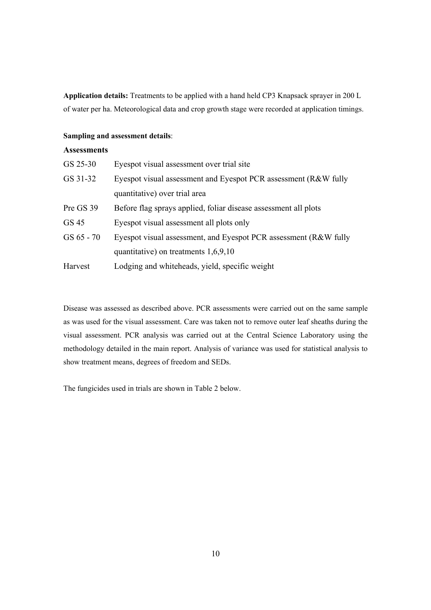**Application details:** Treatments to be applied with a hand held CP3 Knapsack sprayer in 200 L of water per ha. Meteorological data and crop growth stage were recorded at application timings.

## **Sampling and assessment details**:

## **Assessments**

| GS 25-30     | Eyespot visual assessment over trial site                        |
|--------------|------------------------------------------------------------------|
| GS 31-32     | Eyespot visual assessment and Eyespot PCR assessment (R&W fully  |
|              | quantitative) over trial area                                    |
| Pre GS 39    | Before flag sprays applied, foliar disease assessment all plots  |
| GS 45        | Eyespot visual assessment all plots only                         |
| $GS 65 - 70$ | Eyespot visual assessment, and Eyespot PCR assessment (R&W fully |
|              | quantitative) on treatments $1,6,9,10$                           |
| Harvest      | Lodging and whiteheads, yield, specific weight                   |

Disease was assessed as described above. PCR assessments were carried out on the same sample as was used for the visual assessment. Care was taken not to remove outer leaf sheaths during the visual assessment. PCR analysis was carried out at the Central Science Laboratory using the methodology detailed in the main report. Analysis of variance was used for statistical analysis to show treatment means, degrees of freedom and SEDs.

The fungicides used in trials are shown in Table 2 below.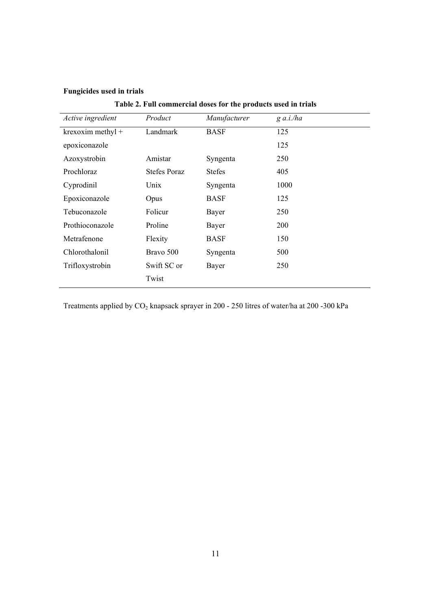## **Fungicides used in trials**

| Active ingredient | Product             | Manufacturer  | $g$ a.i./ha |  |
|-------------------|---------------------|---------------|-------------|--|
| krexoxim methyl + | Landmark            | <b>BASF</b>   | 125         |  |
| epoxiconazole     |                     |               | 125         |  |
| Azoxystrobin      | Amistar             | Syngenta      | 250         |  |
| Prochloraz        | <b>Stefes Poraz</b> | <b>Stefes</b> | 405         |  |
| Cyprodinil        | Unix                | Syngenta      | 1000        |  |
| Epoxiconazole     | Opus                | <b>BASF</b>   | 125         |  |
| Tebuconazole      | Folicur             | Bayer         | 250         |  |
| Prothioconazole   | Proline             | Bayer         | 200         |  |
| Metrafenone       | Flexity             | <b>BASF</b>   | 150         |  |
| Chlorothalonil    | Bravo 500           | Syngenta      | 500         |  |
| Trifloxystrobin   | Swift SC or         | Bayer         | 250         |  |
|                   | Twist               |               |             |  |

Treatments applied by  $CO_2$  knapsack sprayer in 200 - 250 litres of water/ha at 200 -300 kPa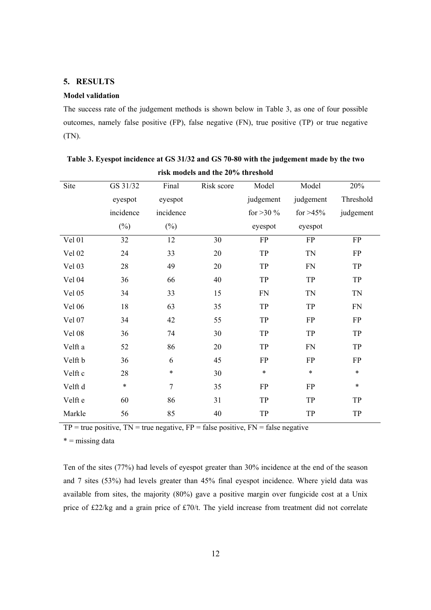## **5. RESULTS**

#### **Model validation**

The success rate of the judgement methods is shown below in Table 3, as one of four possible outcomes, namely false positive (FP), false negative (FN), true positive (TP) or true negative (TN).

| Site    | GS 31/32  | Final          | Risk score | Model       | Model      | 20%        |
|---------|-----------|----------------|------------|-------------|------------|------------|
|         | eyespot   | eyespot        |            | judgement   | judgement  | Threshold  |
|         | incidence | incidence      |            | for $>30\%$ | for $>45%$ | judgement  |
|         | $(\%)$    | $(\%)$         |            | eyespot     | eyespot    |            |
| Vel 01  | 32        | 12             | 30         | <b>FP</b>   | FP         | ${\rm FP}$ |
| Vel 02  | 24        | 33             | 20         | TP          | <b>TN</b>  | FP         |
| Vel 03  | 28        | 49             | 20         | TP          | FN         | TP         |
| Vel 04  | 36        | 66             | 40         | TP          | TP         | TP         |
| Vel 05  | 34        | 33             | 15         | ${\rm FN}$  | <b>TN</b>  | <b>TN</b>  |
| Vel 06  | 18        | 63             | 35         | TP          | TP         | <b>FN</b>  |
| Vel 07  | 34        | 42             | 55         | TP          | FP         | ${\rm FP}$ |
| Vel 08  | 36        | 74             | 30         | TP          | TP         | TP         |
| Velft a | 52        | 86             | 20         | TP          | ${\rm FN}$ | TP         |
| Velft b | 36        | 6              | 45         | ${\rm FP}$  | ${\rm FP}$ | ${\rm FP}$ |
| Velft c | 28        | $\ast$         | 30         | $\ast$      | $\ast$     | $\ast$     |
| Velft d | $\star$   | $\overline{7}$ | 35         | <b>FP</b>   | <b>FP</b>  | $\ast$     |
| Velft e | 60        | 86             | 31         | TP          | TP         | TP         |
| Markle  | 56        | 85             | 40         | TP          | TP         | TP         |
|         |           |                |            |             |            |            |

| Table 3. Eyespot incidence at GS 31/32 and GS 70-80 with the judgement made by the two |
|----------------------------------------------------------------------------------------|
| risk models and the 20% threshold                                                      |

 $TP = true positive$ ,  $TN = true negative$ ,  $FP = false positive$ ,  $FN = false negative$ 

 $* =$  missing data

Ten of the sites (77%) had levels of eyespot greater than 30% incidence at the end of the season and 7 sites (53%) had levels greater than 45% final eyespot incidence. Where yield data was available from sites, the majority (80%) gave a positive margin over fungicide cost at a Unix price of £22/kg and a grain price of £70/t. The yield increase from treatment did not correlate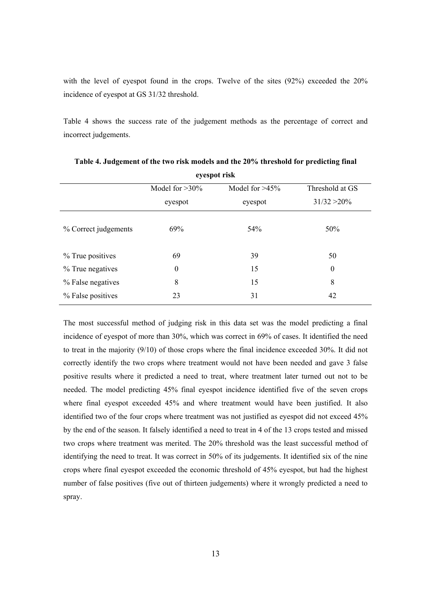with the level of eyespot found in the crops. Twelve of the sites (92%) exceeded the 20% incidence of eyespot at GS 31/32 threshold.

Table 4 shows the success rate of the judgement methods as the percentage of correct and incorrect judgements.

| Cycsput Lisk         |                  |         |                  |  |  |
|----------------------|------------------|---------|------------------|--|--|
|                      | Threshold at GS  |         |                  |  |  |
|                      | eyespot          | eyespot | $31/32 > 20\%$   |  |  |
| % Correct judgements | 69%              | 54%     | 50%              |  |  |
| % True positives     | 69               | 39      | 50               |  |  |
| % True negatives     | $\boldsymbol{0}$ | 15      | $\boldsymbol{0}$ |  |  |
| % False negatives    | 8                | 15      | 8                |  |  |
| % False positives    | 23               | 31      | 42               |  |  |

**Table 4. Judgement of the two risk models and the 20% threshold for predicting final eyespot risk** 

The most successful method of judging risk in this data set was the model predicting a final incidence of eyespot of more than 30%, which was correct in 69% of cases. It identified the need to treat in the majority (9/10) of those crops where the final incidence exceeded 30%. It did not correctly identify the two crops where treatment would not have been needed and gave 3 false positive results where it predicted a need to treat, where treatment later turned out not to be needed. The model predicting 45% final eyespot incidence identified five of the seven crops where final eyespot exceeded 45% and where treatment would have been justified. It also identified two of the four crops where treatment was not justified as eyespot did not exceed 45% by the end of the season. It falsely identified a need to treat in 4 of the 13 crops tested and missed two crops where treatment was merited. The 20% threshold was the least successful method of identifying the need to treat. It was correct in 50% of its judgements. It identified six of the nine crops where final eyespot exceeded the economic threshold of 45% eyespot, but had the highest number of false positives (five out of thirteen judgements) where it wrongly predicted a need to spray.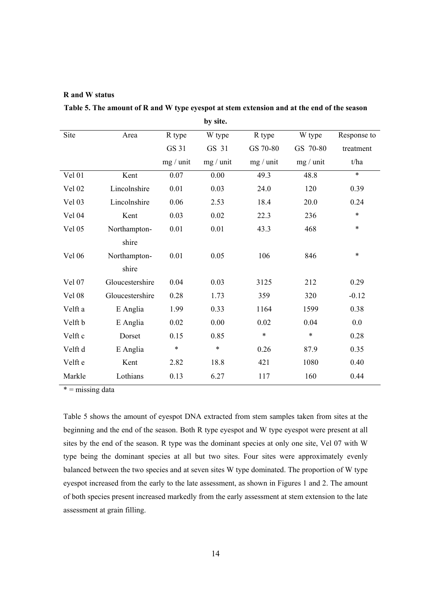## **R and W status**

|         |                 |              | by site.  |           |           |             |
|---------|-----------------|--------------|-----------|-----------|-----------|-------------|
| Site    | Area            | R type       | W type    | R type    | W type    | Response to |
|         |                 | <b>GS 31</b> | GS 31     | GS 70-80  | GS 70-80  | treatment   |
|         |                 | mg / unit    | mg / unit | mg / unit | mg / unit | t/ha        |
| Vel 01  | Kent            | 0.07         | 0.00      | 49.3      | 48.8      | $\ast$      |
| Vel 02  | Lincolnshire    | 0.01         | 0.03      | 24.0      | 120       | 0.39        |
| Vel 03  | Lincolnshire    | 0.06         | 2.53      | 18.4      | 20.0      | 0.24        |
| Vel 04  | Kent            | 0.03         | 0.02      | 22.3      | 236       | $\ast$      |
| Vel 05  | Northampton-    | 0.01         | 0.01      | 43.3      | 468       | $\ast$      |
|         | shire           |              |           |           |           |             |
| Vel 06  | Northampton-    | 0.01         | 0.05      | 106       | 846       | $\ast$      |
|         | shire           |              |           |           |           |             |
| Vel 07  | Gloucestershire | 0.04         | 0.03      | 3125      | 212       | 0.29        |
| Vel 08  | Gloucestershire | 0.28         | 1.73      | 359       | 320       | $-0.12$     |
| Velft a | E Anglia        | 1.99         | 0.33      | 1164      | 1599      | 0.38        |
| Velft b | E Anglia        | 0.02         | 0.00      | 0.02      | 0.04      | 0.0         |
| Velft c | Dorset          | 0.15         | 0.85      | $\ast$    | $\ast$    | 0.28        |
| Velft d | E Anglia        | $\ast$       | $\ast$    | 0.26      | 87.9      | 0.35        |
| Velft e | Kent            | 2.82         | 18.8      | 421       | 1080      | 0.40        |
| Markle  | Lothians        | 0.13         | 6.27      | 117       | 160       | 0.44        |

**Table 5. The amount of R and W type eyespot at stem extension and at the end of the season** 

 $* =$  missing data

Table 5 shows the amount of eyespot DNA extracted from stem samples taken from sites at the beginning and the end of the season. Both R type eyespot and W type eyespot were present at all sites by the end of the season. R type was the dominant species at only one site, Vel 07 with W type being the dominant species at all but two sites. Four sites were approximately evenly balanced between the two species and at seven sites W type dominated. The proportion of W type eyespot increased from the early to the late assessment, as shown in Figures 1 and 2. The amount of both species present increased markedly from the early assessment at stem extension to the late assessment at grain filling.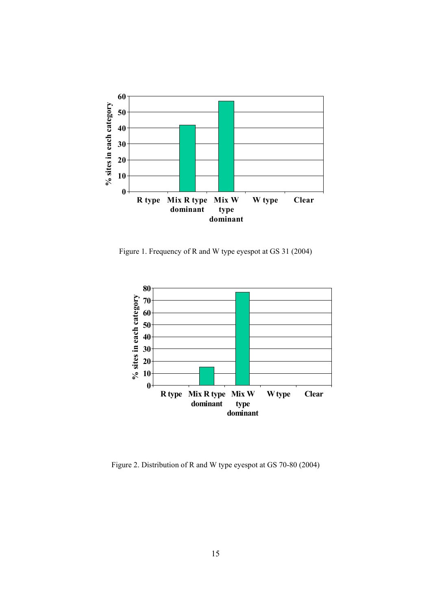

Figure 1. Frequency of R and W type eyespot at GS 31 (2004)



Figure 2. Distribution of R and W type eyespot at GS 70-80 (2004)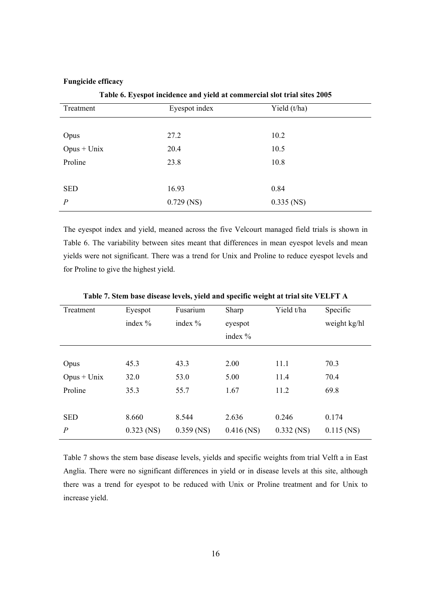#### **Fungicide efficacy**

Treatment Eyespot index Yield (t/ha) Opus 27.2 10.2 Opus + Unix 20.4 10.5 Proline 23.8 10.8 SED 16.93 0.84 *P* 0.729 (NS) 0.335 (NS)

**Table 6. Eyespot incidence and yield at commercial slot trial sites 2005** 

The eyespot index and yield, meaned across the five Velcourt managed field trials is shown in Table 6. The variability between sites meant that differences in mean eyespot levels and mean yields were not significant. There was a trend for Unix and Proline to reduce eyespot levels and for Proline to give the highest yield.

| Treatment        | Eyespot<br>index $\%$ | Fusarium<br>index $\%$ | Yield t/ha<br>Sharp<br>eyespot<br>index $\%$ |              | Specific<br>weight kg/hl |
|------------------|-----------------------|------------------------|----------------------------------------------|--------------|--------------------------|
| Opus             | 45.3                  | 43.3                   | 2.00                                         | 11.1         | 70.3                     |
| $Opus + Unix$    | 32.0                  | 53.0                   | 5.00                                         | 11.4         | 70.4                     |
| Proline          | 35.3                  | 55.7                   | 1.67                                         | 11.2         | 69.8                     |
| <b>SED</b>       | 8.660                 | 8.544                  | 2.636                                        | 0.246        | 0.174                    |
| $\boldsymbol{P}$ | $0.323$ (NS)          | $0.359$ (NS)           | $0.416$ (NS)                                 | $0.332$ (NS) | $0.115$ (NS)             |

**Table 7. Stem base disease levels, yield and specific weight at trial site VELFT A** 

Table 7 shows the stem base disease levels, yields and specific weights from trial Velft a in East Anglia. There were no significant differences in yield or in disease levels at this site, although there was a trend for eyespot to be reduced with Unix or Proline treatment and for Unix to increase yield.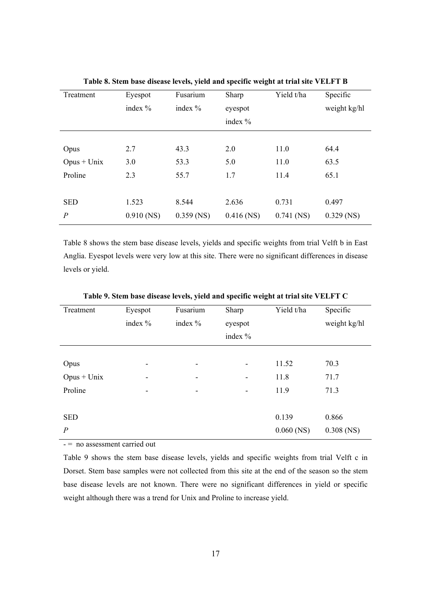| Treatment        | Eyespot      | Fusarium     | Sharp        | Yield t/ha   | Specific     |
|------------------|--------------|--------------|--------------|--------------|--------------|
|                  | index $%$    | index %      | eyespot      |              | weight kg/hl |
|                  |              |              | index $\%$   |              |              |
|                  |              |              |              |              |              |
| Opus             | 2.7          | 43.3         | 2.0          | 11.0         | 64.4         |
| $Opus + Unix$    | 3.0          | 53.3         | 5.0          | 11.0         | 63.5         |
| Proline          | 2.3          | 55.7         | 1.7          | 11.4         | 65.1         |
|                  |              |              |              |              |              |
| <b>SED</b>       | 1.523        | 8.544        | 2.636        | 0.731        | 0.497        |
| $\boldsymbol{P}$ | $0.910$ (NS) | $0.359$ (NS) | $0.416$ (NS) | $0.741$ (NS) | $0.329$ (NS) |

**Table 8. Stem base disease levels, yield and specific weight at trial site VELFT B** 

Table 8 shows the stem base disease levels, yields and specific weights from trial Velft b in East Anglia. Eyespot levels were very low at this site. There were no significant differences in disease levels or yield.

| Treatment        | Eyespot<br>index % | Fusarium<br>index $%$ | Sharp<br>eyespot<br>index % | Yield t/ha   | Specific<br>weight kg/hl |
|------------------|--------------------|-----------------------|-----------------------------|--------------|--------------------------|
|                  |                    |                       |                             |              |                          |
| Opus             | ۰                  | ۰                     | $\overline{\phantom{a}}$    | 11.52        | 70.3                     |
| $Opus + Unix$    | ۰                  | ٠                     | -                           | 11.8         | 71.7                     |
| Proline          | -                  | ۰                     | $\overline{\phantom{a}}$    | 11.9         | 71.3                     |
|                  |                    |                       |                             |              |                          |
| <b>SED</b>       |                    |                       |                             | 0.139        | 0.866                    |
| $\boldsymbol{P}$ | $\sim$             |                       |                             | $0.060$ (NS) | $0.308$ (NS)             |

**Table 9. Stem base disease levels, yield and specific weight at trial site VELFT C** 

- = no assessment carried out

Table 9 shows the stem base disease levels, yields and specific weights from trial Velft c in Dorset. Stem base samples were not collected from this site at the end of the season so the stem base disease levels are not known. There were no significant differences in yield or specific weight although there was a trend for Unix and Proline to increase yield.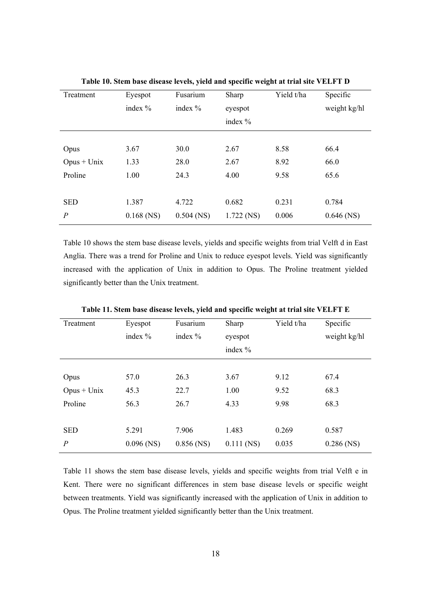| Treatment      | Eyespot      | Fusarium     | Sharp        | Yield t/ha | Specific     |
|----------------|--------------|--------------|--------------|------------|--------------|
|                | index $%$    | index $%$    | eyespot      |            | weight kg/hl |
|                |              |              | index $\%$   |            |              |
|                |              |              |              |            |              |
| Opus           | 3.67         | 30.0         | 2.67         | 8.58       | 66.4         |
| $Opus + Unix$  | 1.33         | 28.0         | 2.67         | 8.92       | 66.0         |
| Proline        | 1.00         | 24.3         | 4.00         | 9.58       | 65.6         |
|                |              |              |              |            |              |
| <b>SED</b>     | 1.387        | 4.722        | 0.682        | 0.231      | 0.784        |
| $\overline{P}$ | $0.168$ (NS) | $0.504$ (NS) | $1.722$ (NS) | 0.006      | $0.646$ (NS) |

**Table 10. Stem base disease levels, yield and specific weight at trial site VELFT D** 

Table 10 shows the stem base disease levels, yields and specific weights from trial Velft d in East Anglia. There was a trend for Proline and Unix to reduce eyespot levels. Yield was significantly increased with the application of Unix in addition to Opus. The Proline treatment yielded significantly better than the Unix treatment.

| Treatment      | Eyespot<br>index $%$ | Fusarium<br>index $%$ | Yield t/ha<br>Sharp<br>eyespot<br>index % |       | Specific<br>weight kg/hl |
|----------------|----------------------|-----------------------|-------------------------------------------|-------|--------------------------|
| Opus           | 57.0                 | 26.3                  | 3.67                                      | 9.12  | 67.4                     |
| $Opus + Unix$  | 45.3                 | 22.7                  | 1.00                                      | 9.52  | 68.3                     |
| Proline        | 56.3                 | 26.7                  | 4.33                                      | 9.98  | 68.3                     |
| <b>SED</b>     | 5.291                | 7.906                 | 1.483                                     | 0.269 | 0.587                    |
| $\overline{P}$ | $0.096$ (NS)         | $0.856$ (NS)          | $0.111$ (NS)                              | 0.035 | $0.286$ (NS)             |

**Table 11. Stem base disease levels, yield and specific weight at trial site VELFT E** 

Table 11 shows the stem base disease levels, yields and specific weights from trial Velft e in Kent. There were no significant differences in stem base disease levels or specific weight between treatments. Yield was significantly increased with the application of Unix in addition to Opus. The Proline treatment yielded significantly better than the Unix treatment.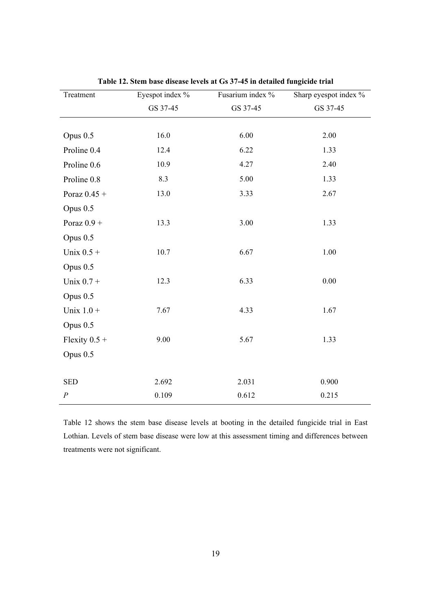| Treatment        | Eyespot index % | Fusarium index % | Sharp eyespot index % |
|------------------|-----------------|------------------|-----------------------|
|                  | GS 37-45        | GS 37-45         | GS 37-45              |
|                  |                 |                  |                       |
| Opus $0.5$       | 16.0            | 6.00             | 2.00                  |
| Proline 0.4      | 12.4            | 6.22             | 1.33                  |
| Proline 0.6      | 10.9            | 4.27             | 2.40                  |
| Proline 0.8      | 8.3             | 5.00             | 1.33                  |
| Poraz $0.45 +$   | 13.0            | 3.33             | 2.67                  |
| Opus $0.5$       |                 |                  |                       |
| Poraz $0.9 +$    | 13.3            | 3.00             | 1.33                  |
| Opus 0.5         |                 |                  |                       |
| Unix $0.5 +$     | 10.7            | 6.67             | 1.00                  |
| Opus 0.5         |                 |                  |                       |
| Unix $0.7 +$     | 12.3            | 6.33             | $0.00\,$              |
| Opus $0.5$       |                 |                  |                       |
| Unix $1.0 +$     | 7.67            | 4.33             | 1.67                  |
| Opus 0.5         |                 |                  |                       |
| Flexity $0.5 +$  | 9.00            | 5.67             | 1.33                  |
| Opus 0.5         |                 |                  |                       |
|                  |                 |                  |                       |
| <b>SED</b>       | 2.692           | 2.031            | 0.900                 |
| $\boldsymbol{P}$ | 0.109           | 0.612            | 0.215                 |

**Table 12. Stem base disease levels at Gs 37-45 in detailed fungicide trial** 

Table 12 shows the stem base disease levels at booting in the detailed fungicide trial in East Lothian. Levels of stem base disease were low at this assessment timing and differences between treatments were not significant.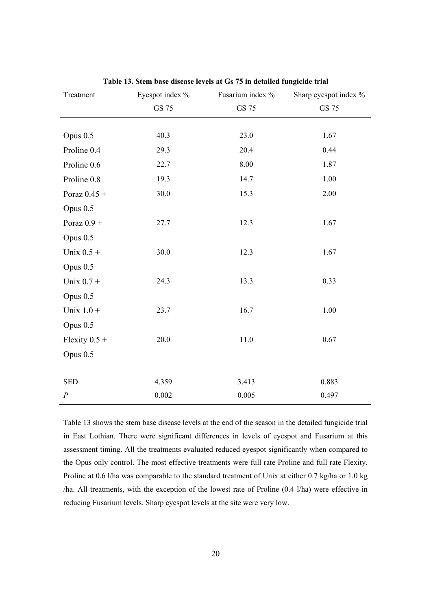| Treatment        | Eyespot index % | Fusarium index % | Sharp eyespot index % |
|------------------|-----------------|------------------|-----------------------|
|                  | GS 75           | GS 75            | GS 75                 |
|                  |                 |                  |                       |
| Opus 0.5         | 40.3            | 23.0             | 1.67                  |
| Proline 0.4      | 29.3            | 20.4             | 0.44                  |
| Proline 0.6      | 22.7            | 8.00             | 1.87                  |
| Proline 0.8      | 19.3            | 14.7             | 1.00                  |
| Poraz $0.45 +$   | 30.0            | 15.3             | 2.00                  |
| Opus 0.5         |                 |                  |                       |
| Poraz $0.9 +$    | 27.7            | 12.3             | 1.67                  |
| Opus 0.5         |                 |                  |                       |
| Unix $0.5 +$     | 30.0            | 12.3             | 1.67                  |
| Opus 0.5         |                 |                  |                       |
| Unix $0.7 +$     | 24.3            | 13.3             | 0.33                  |
| Opus 0.5         |                 |                  |                       |
| Unix $1.0 +$     | 23.7            | 16.7             | 1.00                  |
| Opus 0.5         |                 |                  |                       |
| Flexity $0.5 +$  | 20.0            | 11.0             | 0.67                  |
| Opus 0.5         |                 |                  |                       |
|                  |                 |                  |                       |
| <b>SED</b>       | 4.359           | 3.413            | 0.883                 |
| $\boldsymbol{P}$ | 0.002           | 0.005            | 0.497                 |

**Table 13. Stem base disease levels at Gs 75 in detailed fungicide trial** 

Table 13 shows the stem base disease levels at the end of the season in the detailed fungicide trial in East Lothian. There were significant differences in levels of eyespot and Fusarium at this assessment timing. All the treatments evaluated reduced eyespot significantly when compared to the Opus only control. The most effective treatments were full rate Proline and full rate Flexity. Proline at 0.6 l/ha was comparable to the standard treatment of Unix at either 0.7 kg/ha or 1.0 kg /ha. All treatments, with the exception of the lowest rate of Proline (0.4 l/ha) were effective in reducing Fusarium levels. Sharp eyespot levels at the site were very low.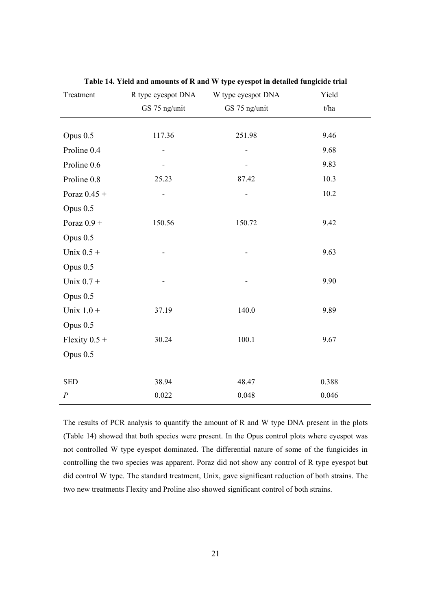| Treatment        | R type eyespot DNA | W type eyespot DNA       | Yield |
|------------------|--------------------|--------------------------|-------|
|                  | GS 75 ng/unit      | GS 75 ng/unit            | t/ha  |
|                  |                    |                          |       |
| Opus 0.5         | 117.36             | 251.98                   | 9.46  |
| Proline 0.4      |                    | $\overline{\phantom{m}}$ | 9.68  |
| Proline 0.6      |                    |                          | 9.83  |
| Proline 0.8      | 25.23              | 87.42                    | 10.3  |
| Poraz $0.45 +$   |                    |                          | 10.2  |
| Opus 0.5         |                    |                          |       |
| Poraz $0.9 +$    | 150.56             | 150.72                   | 9.42  |
| Opus 0.5         |                    |                          |       |
| Unix $0.5 +$     |                    |                          | 9.63  |
| Opus 0.5         |                    |                          |       |
| Unix $0.7 +$     |                    |                          | 9.90  |
| Opus 0.5         |                    |                          |       |
| Unix $1.0 +$     | 37.19              | 140.0                    | 9.89  |
| Opus 0.5         |                    |                          |       |
| Flexity $0.5 +$  | 30.24              | 100.1                    | 9.67  |
| Opus 0.5         |                    |                          |       |
|                  |                    |                          |       |
| <b>SED</b>       | 38.94              | 48.47                    | 0.388 |
| $\boldsymbol{P}$ | 0.022              | 0.048                    | 0.046 |

**Table 14. Yield and amounts of R and W type eyespot in detailed fungicide trial** 

The results of PCR analysis to quantify the amount of R and W type DNA present in the plots (Table 14) showed that both species were present. In the Opus control plots where eyespot was not controlled W type eyespot dominated. The differential nature of some of the fungicides in controlling the two species was apparent. Poraz did not show any control of R type eyespot but did control W type. The standard treatment, Unix, gave significant reduction of both strains. The two new treatments Flexity and Proline also showed significant control of both strains.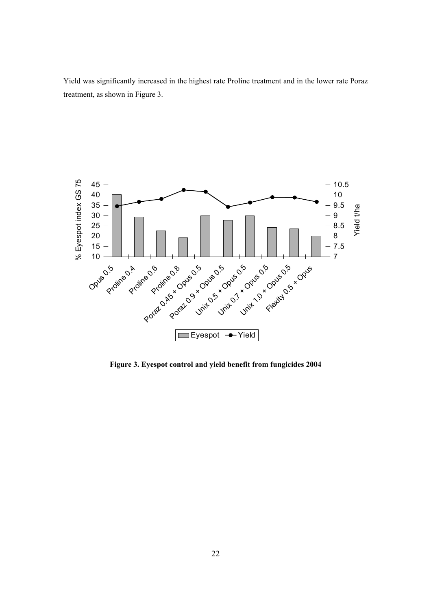Yield was significantly increased in the highest rate Proline treatment and in the lower rate Poraz treatment, as shown in Figure 3.



**Figure 3. Eyespot control and yield benefit from fungicides 2004**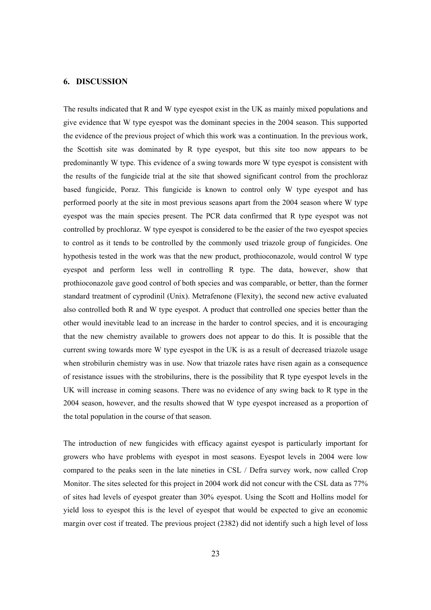#### **6. DISCUSSION**

The results indicated that R and W type eyespot exist in the UK as mainly mixed populations and give evidence that W type eyespot was the dominant species in the 2004 season. This supported the evidence of the previous project of which this work was a continuation. In the previous work, the Scottish site was dominated by R type eyespot, but this site too now appears to be predominantly W type. This evidence of a swing towards more W type eyespot is consistent with the results of the fungicide trial at the site that showed significant control from the prochloraz based fungicide, Poraz. This fungicide is known to control only W type eyespot and has performed poorly at the site in most previous seasons apart from the 2004 season where W type eyespot was the main species present. The PCR data confirmed that R type eyespot was not controlled by prochloraz. W type eyespot is considered to be the easier of the two eyespot species to control as it tends to be controlled by the commonly used triazole group of fungicides. One hypothesis tested in the work was that the new product, prothioconazole, would control W type eyespot and perform less well in controlling R type. The data, however, show that prothioconazole gave good control of both species and was comparable, or better, than the former standard treatment of cyprodinil (Unix). Metrafenone (Flexity), the second new active evaluated also controlled both R and W type eyespot. A product that controlled one species better than the other would inevitable lead to an increase in the harder to control species, and it is encouraging that the new chemistry available to growers does not appear to do this. It is possible that the current swing towards more W type eyespot in the UK is as a result of decreased triazole usage when strobilurin chemistry was in use. Now that triazole rates have risen again as a consequence of resistance issues with the strobilurins, there is the possibility that R type eyespot levels in the UK will increase in coming seasons. There was no evidence of any swing back to R type in the 2004 season, however, and the results showed that W type eyespot increased as a proportion of the total population in the course of that season.

The introduction of new fungicides with efficacy against eyespot is particularly important for growers who have problems with eyespot in most seasons. Eyespot levels in 2004 were low compared to the peaks seen in the late nineties in CSL / Defra survey work, now called Crop Monitor. The sites selected for this project in 2004 work did not concur with the CSL data as 77% of sites had levels of eyespot greater than 30% eyespot. Using the Scott and Hollins model for yield loss to eyespot this is the level of eyespot that would be expected to give an economic margin over cost if treated. The previous project (2382) did not identify such a high level of loss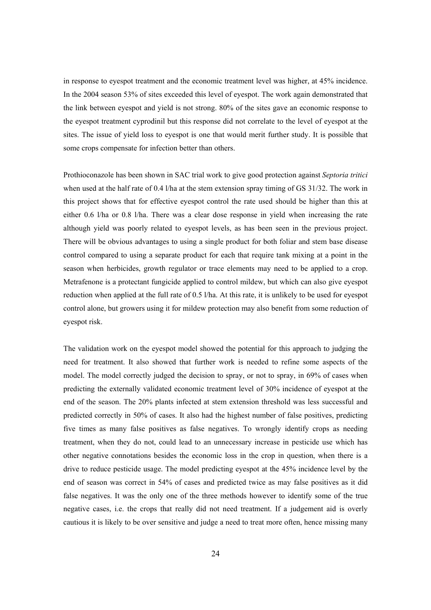in response to eyespot treatment and the economic treatment level was higher, at 45% incidence. In the 2004 season 53% of sites exceeded this level of eyespot. The work again demonstrated that the link between eyespot and yield is not strong. 80% of the sites gave an economic response to the eyespot treatment cyprodinil but this response did not correlate to the level of eyespot at the sites. The issue of yield loss to eyespot is one that would merit further study. It is possible that some crops compensate for infection better than others.

Prothioconazole has been shown in SAC trial work to give good protection against *Septoria tritici* when used at the half rate of 0.4 l/ha at the stem extension spray timing of GS 31/32. The work in this project shows that for effective eyespot control the rate used should be higher than this at either 0.6 l/ha or 0.8 l/ha. There was a clear dose response in yield when increasing the rate although yield was poorly related to eyespot levels, as has been seen in the previous project. There will be obvious advantages to using a single product for both foliar and stem base disease control compared to using a separate product for each that require tank mixing at a point in the season when herbicides, growth regulator or trace elements may need to be applied to a crop. Metrafenone is a protectant fungicide applied to control mildew, but which can also give eyespot reduction when applied at the full rate of 0.5 l/ha. At this rate, it is unlikely to be used for eyespot control alone, but growers using it for mildew protection may also benefit from some reduction of eyespot risk.

The validation work on the eyespot model showed the potential for this approach to judging the need for treatment. It also showed that further work is needed to refine some aspects of the model. The model correctly judged the decision to spray, or not to spray, in 69% of cases when predicting the externally validated economic treatment level of 30% incidence of eyespot at the end of the season. The 20% plants infected at stem extension threshold was less successful and predicted correctly in 50% of cases. It also had the highest number of false positives, predicting five times as many false positives as false negatives. To wrongly identify crops as needing treatment, when they do not, could lead to an unnecessary increase in pesticide use which has other negative connotations besides the economic loss in the crop in question, when there is a drive to reduce pesticide usage. The model predicting eyespot at the 45% incidence level by the end of season was correct in 54% of cases and predicted twice as may false positives as it did false negatives. It was the only one of the three methods however to identify some of the true negative cases, i.e. the crops that really did not need treatment. If a judgement aid is overly cautious it is likely to be over sensitive and judge a need to treat more often, hence missing many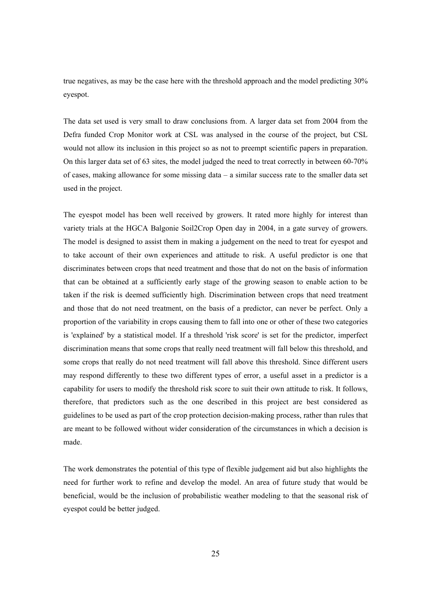true negatives, as may be the case here with the threshold approach and the model predicting 30% eyespot.

The data set used is very small to draw conclusions from. A larger data set from 2004 from the Defra funded Crop Monitor work at CSL was analysed in the course of the project, but CSL would not allow its inclusion in this project so as not to preempt scientific papers in preparation. On this larger data set of 63 sites, the model judged the need to treat correctly in between 60-70% of cases, making allowance for some missing data – a similar success rate to the smaller data set used in the project.

The eyespot model has been well received by growers. It rated more highly for interest than variety trials at the HGCA Balgonie Soil2Crop Open day in 2004, in a gate survey of growers. The model is designed to assist them in making a judgement on the need to treat for eyespot and to take account of their own experiences and attitude to risk. A useful predictor is one that discriminates between crops that need treatment and those that do not on the basis of information that can be obtained at a sufficiently early stage of the growing season to enable action to be taken if the risk is deemed sufficiently high. Discrimination between crops that need treatment and those that do not need treatment, on the basis of a predictor, can never be perfect. Only a proportion of the variability in crops causing them to fall into one or other of these two categories is 'explained' by a statistical model. If a threshold 'risk score' is set for the predictor, imperfect discrimination means that some crops that really need treatment will fall below this threshold, and some crops that really do not need treatment will fall above this threshold. Since different users may respond differently to these two different types of error, a useful asset in a predictor is a capability for users to modify the threshold risk score to suit their own attitude to risk. It follows, therefore, that predictors such as the one described in this project are best considered as guidelines to be used as part of the crop protection decision-making process, rather than rules that are meant to be followed without wider consideration of the circumstances in which a decision is made.

The work demonstrates the potential of this type of flexible judgement aid but also highlights the need for further work to refine and develop the model. An area of future study that would be beneficial, would be the inclusion of probabilistic weather modeling to that the seasonal risk of eyespot could be better judged.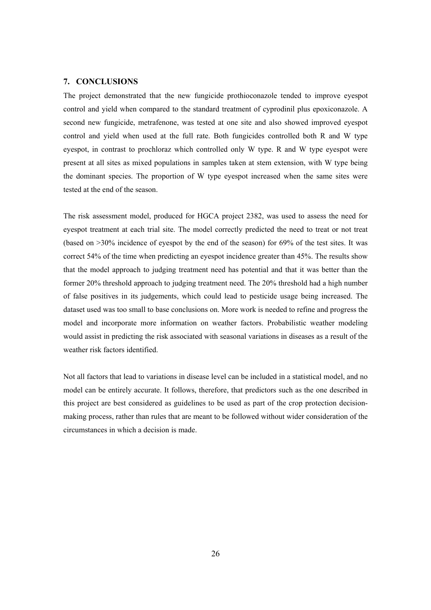#### **7. CONCLUSIONS**

The project demonstrated that the new fungicide prothioconazole tended to improve eyespot control and yield when compared to the standard treatment of cyprodinil plus epoxiconazole. A second new fungicide, metrafenone, was tested at one site and also showed improved eyespot control and yield when used at the full rate. Both fungicides controlled both R and W type eyespot, in contrast to prochloraz which controlled only W type. R and W type eyespot were present at all sites as mixed populations in samples taken at stem extension, with W type being the dominant species. The proportion of W type eyespot increased when the same sites were tested at the end of the season.

The risk assessment model, produced for HGCA project 2382, was used to assess the need for eyespot treatment at each trial site. The model correctly predicted the need to treat or not treat (based on >30% incidence of eyespot by the end of the season) for 69% of the test sites. It was correct 54% of the time when predicting an eyespot incidence greater than 45%. The results show that the model approach to judging treatment need has potential and that it was better than the former 20% threshold approach to judging treatment need. The 20% threshold had a high number of false positives in its judgements, which could lead to pesticide usage being increased. The dataset used was too small to base conclusions on. More work is needed to refine and progress the model and incorporate more information on weather factors. Probabilistic weather modeling would assist in predicting the risk associated with seasonal variations in diseases as a result of the weather risk factors identified.

Not all factors that lead to variations in disease level can be included in a statistical model, and no model can be entirely accurate. It follows, therefore, that predictors such as the one described in this project are best considered as guidelines to be used as part of the crop protection decisionmaking process, rather than rules that are meant to be followed without wider consideration of the circumstances in which a decision is made.